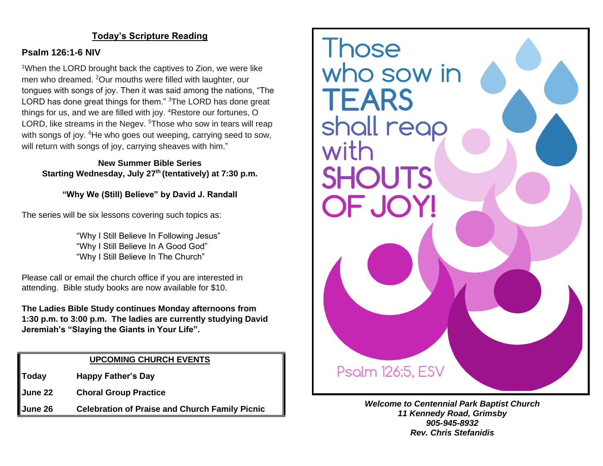#### **Today's Scripture Reading**

#### **Psalm 126:1-6 NIV**

<sup>1</sup>When the LORD brought back the captives to Zion, we were like men who dreamed. <sup>2</sup>Our mouths were filled with laughter, our tongues with songs of joy. Then it was said among the nations, "The LORD has done great things for them." <sup>3</sup>The LORD has done great things for us, and we are filled with joy. <sup>4</sup>Restore our fortunes, O LORD, like streams in the Negev. <sup>5</sup>Those who sow in tears will reap with songs of joy. <sup>6</sup>He who goes out weeping, carrying seed to sow, will return with songs of joy, carrying sheaves with him."

**New Summer Bible Series Starting Wednesday, July 27th (tentatively) at 7:30 p.m.**

**"Why We (Still) Believe" by David J. Randall**

The series will be six lessons covering such topics as:

"Why I Still Believe In Following Jesus" "Why I Still Believe In A Good God" "Why I Still Believe In The Church"

Please call or email the church office if you are interested in attending. Bible study books are now available for \$10.

**The Ladies Bible Study continues Monday afternoons from 1:30 p.m. to 3:00 p.m. The ladies are currently studying David Jeremiah's "Slaying the Giants in Your Life".**

#### **UPCOMING CHURCH EVENTS**

**Today Happy Father's Day**

**June 22 Choral Group Practice**

**June 26 Celebration of Praise and Church Family Picnic**



*Welcome to Centennial Park Baptist Church 11 Kennedy Road, Grimsby 905-945-8932 Rev. Chris Stefanidis*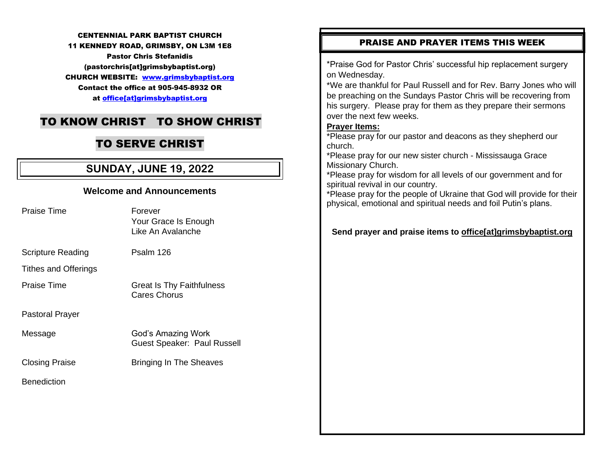#### CENTENNIAL PARK BAPTIST CHURCH

11 KENNEDY ROAD, GRIMSBY, ON L3M 1E8

Pastor Chris Stefanidis (pastorchris[at]grimsbybaptist.org) CHURCH WEBSITE: [www.grimsbybaptist.org](http://www.grimsbybaptist.org/) Contact the office at 905-945-8932 OR at [office\[at\]grimsbybaptist.org](mailto:office@grimsbybaptist.org)

## TO KNOW CHRIST TO SHOW CHRIST

## TO SERVE CHRIST

## **SUNDAY, JUNE 19, 2022**

# **Welcome and Announcements** Praise Time **Forever** Your Grace Is Enough Like An Avalanche Scripture Reading Psalm 126 Tithes and Offerings Praise Time Great Is Thy Faithfulness Cares Chorus Pastoral Prayer Message God's Amazing Work Guest Speaker: Paul Russell Closing Praise **Bringing In The Sheaves Benediction**

#### PRAISE AND PRAYER ITEMS THIS WEEK

\*Praise God for Pastor Chris' successful hip replacement surgery on Wednesday.

\*We are thankful for Paul Russell and for Rev. Barry Jones who will be preaching on the Sundays Pastor Chris will be recovering from his surgery. Please pray for them as they prepare their sermons over the next few weeks.

#### **Prayer Items:**

\*Please pray for our pastor and deacons as they shepherd our church.

\*Please pray for our new sister church - Mississauga Grace Missionary Church.

\*Please pray for wisdom for all levels of our government and for spiritual revival in our country.

\*Please pray for the people of Ukraine that God will provide for their physical, emotional and spiritual needs and foil Putin's plans.

#### **Send prayer and praise items to [office\[at\]grimsbybaptist.org](mailto:office@grimsbybaptist.org)**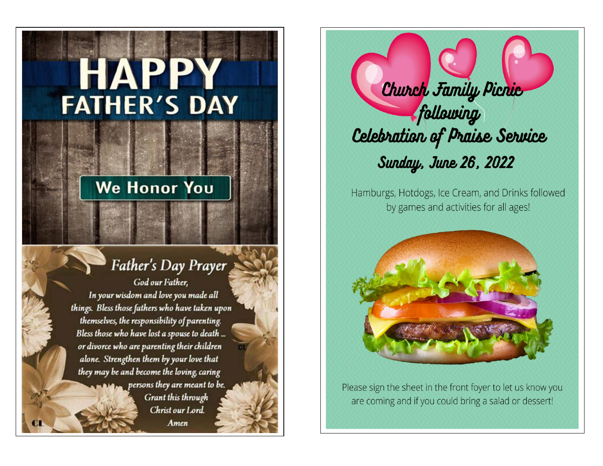# **HAPPY FATHER'S DAY**

# **We Honor You**

# Father's Day Prayer

God our Father, In your wisdom and love you made all things. Bless those fathers who have taken upon themselves, the responsibility of parenting. Bless those who have lost a spouse to death ... or divorce who are parenting their children alone. Strengthen them by your love that they may be and become the loving, caring  $p$  persons they are meant to be. Grant this through Christ our Lord. Amen

Church Family Picnic following Celebration of Praise Service **Sunday, June 26, 2022** 

Hamburgs, Hotdogs, Ice Cream, and Drinks followed by games and activities for all ages!



Please sign the sheet in the front foyer to let us know you are coming and if you could bring a salad or dessert!